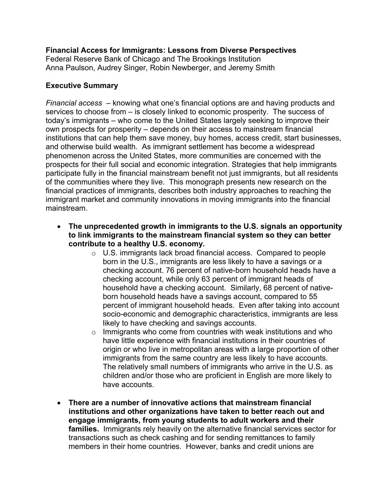**Financial Access for Immigrants: Lessons from Diverse Perspectives**  Federal Reserve Bank of Chicago and The Brookings Institution Anna Paulson, Audrey Singer, Robin Newberger, and Jeremy Smith

## **Executive Summary**

*Financial access –* knowing what one's financial options are and having products and services to choose from *–* is closely linked to economic prosperity. The success of today's immigrants *–* who come to the United States largely seeking to improve their own prospects for prosperity *–* depends on their access to mainstream financial institutions that can help them save money, buy homes, access credit, start businesses, and otherwise build wealth. As immigrant settlement has become a widespread phenomenon across the United States, more communities are concerned with the prospects for their full social and economic integration. Strategies that help immigrants participate fully in the financial mainstream benefit not just immigrants, but all residents of the communities where they live. This monograph presents new research on the financial practices of immigrants, describes both industry approaches to reaching the immigrant market and community innovations in moving immigrants into the financial mainstream.

- **The unprecedented growth in immigrants to the U.S. signals an opportunity to link immigrants to the mainstream financial system so they can better contribute to a healthy U.S. economy.**
	- o U.S. immigrants lack broad financial access. Compared to people born in the U.S., immigrants are less likely to have a savings or a checking account. 76 percent of native-born household heads have a checking account, while only 63 percent of immigrant heads of household have a checking account. Similarly, 68 percent of nativeborn household heads have a savings account, compared to 55 percent of immigrant household heads. Even after taking into account socio-economic and demographic characteristics, immigrants are less likely to have checking and savings accounts.
	- $\circ$  Immigrants who come from countries with weak institutions and who have little experience with financial institutions in their countries of origin or who live in metropolitan areas with a large proportion of other immigrants from the same country are less likely to have accounts. The relatively small numbers of immigrants who arrive in the U.S. as children and/or those who are proficient in English are more likely to have accounts.
- **There are a number of innovative actions that mainstream financial institutions and other organizations have taken to better reach out and engage immigrants, from young students to adult workers and their families.** Immigrants rely heavily on the alternative financial services sector for transactions such as check cashing and for sending remittances to family members in their home countries. However, banks and credit unions are